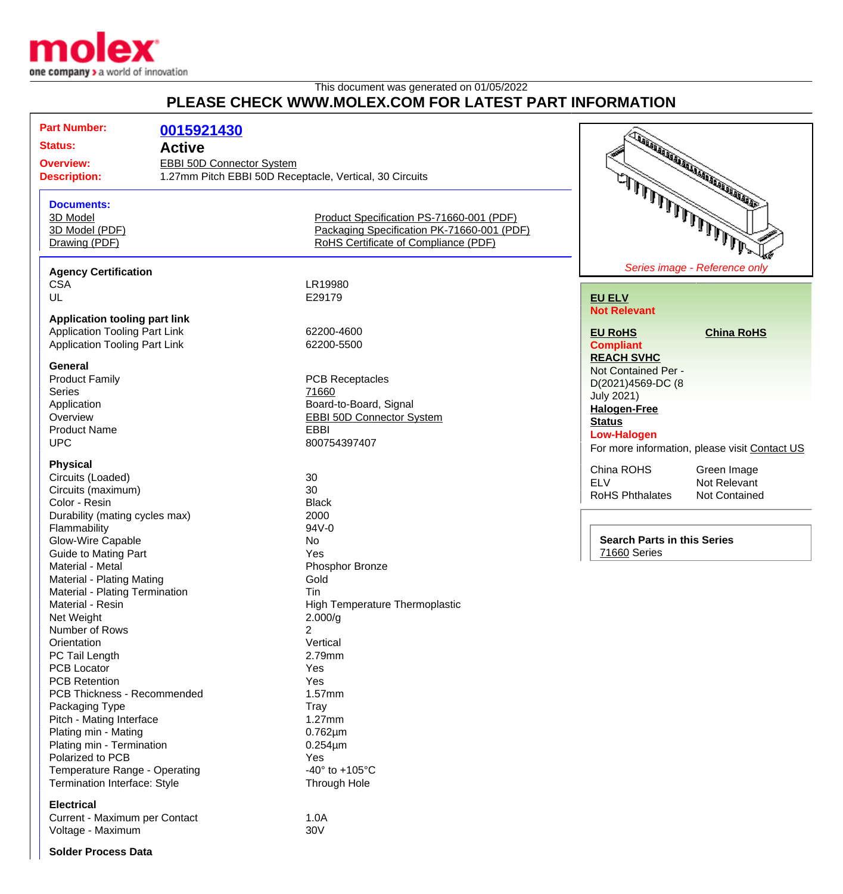

## This document was generated on 01/05/2022 **PLEASE CHECK WWW.MOLEX.COM FOR LATEST PART INFORMATION**

| <b>Part Number:</b>                                                              | 0015921430 |                                                         |                                               |
|----------------------------------------------------------------------------------|------------|---------------------------------------------------------|-----------------------------------------------|
| <b>Status:</b><br><b>Active</b><br><b>Overview:</b><br>EBBI 50D Connector System |            |                                                         | TANA ARA ARA ARA ARA ARA ARA ARA              |
|                                                                                  |            |                                                         |                                               |
| <b>Description:</b>                                                              |            | 1.27mm Pitch EBBI 50D Receptacle, Vertical, 30 Circuits |                                               |
|                                                                                  |            |                                                         |                                               |
|                                                                                  |            |                                                         | يتملا المالملال الملال الملالي                |
| <b>Documents:</b>                                                                |            |                                                         |                                               |
| 3D Model                                                                         |            | Product Specification PS-71660-001 (PDF)                |                                               |
| 3D Model (PDF)                                                                   |            | Packaging Specification PK-71660-001 (PDF)              |                                               |
| Drawing (PDF)                                                                    |            | RoHS Certificate of Compliance (PDF)                    |                                               |
| <b>Agency Certification</b>                                                      |            |                                                         | Series image - Reference only                 |
| <b>CSA</b>                                                                       |            | LR19980                                                 |                                               |
| UL                                                                               |            | E29179                                                  | <b>EU ELV</b>                                 |
|                                                                                  |            |                                                         | <b>Not Relevant</b>                           |
| <b>Application tooling part link</b>                                             |            |                                                         |                                               |
| <b>Application Tooling Part Link</b>                                             |            | 62200-4600                                              | <b>EU RoHS</b><br><b>China RoHS</b>           |
| <b>Application Tooling Part Link</b>                                             |            | 62200-5500                                              | <b>Compliant</b>                              |
|                                                                                  |            |                                                         | <b>REACH SVHC</b>                             |
| <b>General</b>                                                                   |            |                                                         | Not Contained Per -                           |
| <b>Product Family</b>                                                            |            | <b>PCB Receptacles</b>                                  | D(2021)4569-DC (8                             |
| <b>Series</b>                                                                    |            | 71660                                                   | <b>July 2021)</b>                             |
| Application                                                                      |            | Board-to-Board, Signal                                  |                                               |
| Overview                                                                         |            | <b>EBBI 50D Connector System</b>                        | <b>Halogen-Free</b>                           |
| <b>Product Name</b>                                                              |            | <b>EBBI</b>                                             | <b>Status</b>                                 |
| <b>UPC</b>                                                                       |            | 800754397407                                            | <b>Low-Halogen</b>                            |
|                                                                                  |            |                                                         | For more information, please visit Contact US |
| <b>Physical</b>                                                                  |            |                                                         | China ROHS<br>Green Image                     |
| Circuits (Loaded)                                                                |            | 30                                                      | <b>ELV</b><br>Not Relevant                    |
| Circuits (maximum)                                                               |            | 30                                                      | <b>RoHS Phthalates</b><br>Not Contained       |
| Color - Resin                                                                    |            | <b>Black</b>                                            |                                               |
| Durability (mating cycles max)                                                   |            | 2000                                                    |                                               |
| Flammability                                                                     |            | 94V-0                                                   |                                               |
| Glow-Wire Capable                                                                |            | No                                                      | <b>Search Parts in this Series</b>            |
| <b>Guide to Mating Part</b>                                                      |            | Yes                                                     | 71660 Series                                  |
| Material - Metal                                                                 |            | Phosphor Bronze                                         |                                               |
| Material - Plating Mating                                                        |            | Gold                                                    |                                               |
| Material - Plating Termination                                                   |            | Tin                                                     |                                               |
| Material - Resin                                                                 |            | High Temperature Thermoplastic                          |                                               |
| Net Weight                                                                       |            | 2.000/g                                                 |                                               |
| Number of Rows                                                                   |            | 2                                                       |                                               |
| Orientation                                                                      |            | Vertical                                                |                                               |
| PC Tail Length                                                                   |            | 2.79mm                                                  |                                               |
| <b>PCB Locator</b>                                                               |            | Yes                                                     |                                               |
| <b>PCB Retention</b>                                                             |            | Yes                                                     |                                               |
| PCB Thickness - Recommended                                                      |            | 1.57mm                                                  |                                               |
| Packaging Type                                                                   |            | Tray                                                    |                                               |
| Pitch - Mating Interface                                                         |            | 1.27mm                                                  |                                               |
| Plating min - Mating                                                             |            | $0.762 \mu m$                                           |                                               |
|                                                                                  |            |                                                         |                                               |
| Plating min - Termination                                                        |            | $0.254 \mu m$                                           |                                               |
| Polarized to PCB                                                                 |            | Yes                                                     |                                               |
| Temperature Range - Operating                                                    |            | -40 $^{\circ}$ to +105 $^{\circ}$ C                     |                                               |
| Termination Interface: Style                                                     |            | Through Hole                                            |                                               |
| <b>Electrical</b>                                                                |            |                                                         |                                               |
| Current - Maximum per Contact                                                    |            | 1.0A                                                    |                                               |
| Voltage - Maximum                                                                |            | 30V                                                     |                                               |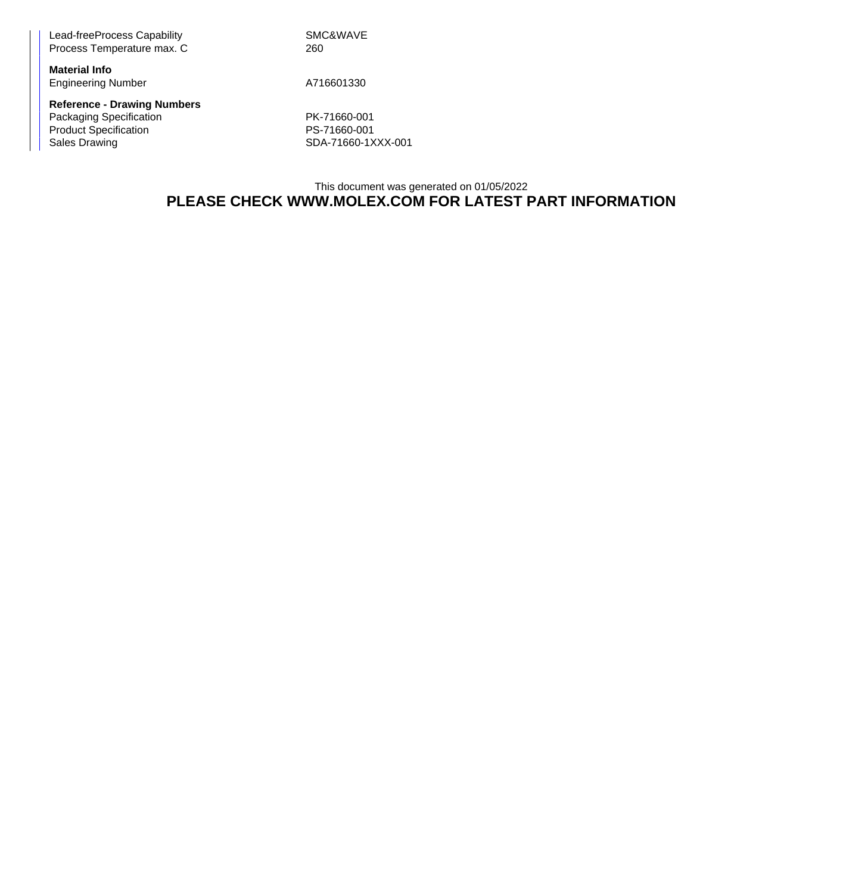Lead-freeProcess Capability Network SMC&WAVE Process Temperature max. C 260

**Material Info** Engineering Number A716601330

**Reference - Drawing Numbers** Packaging Specification PK-71660-001<br>Product Specification PS-71660-001 Product Specification<br>Sales Drawing

SDA-71660-1XXX-001

This document was generated on 01/05/2022 **PLEASE CHECK WWW.MOLEX.COM FOR LATEST PART INFORMATION**